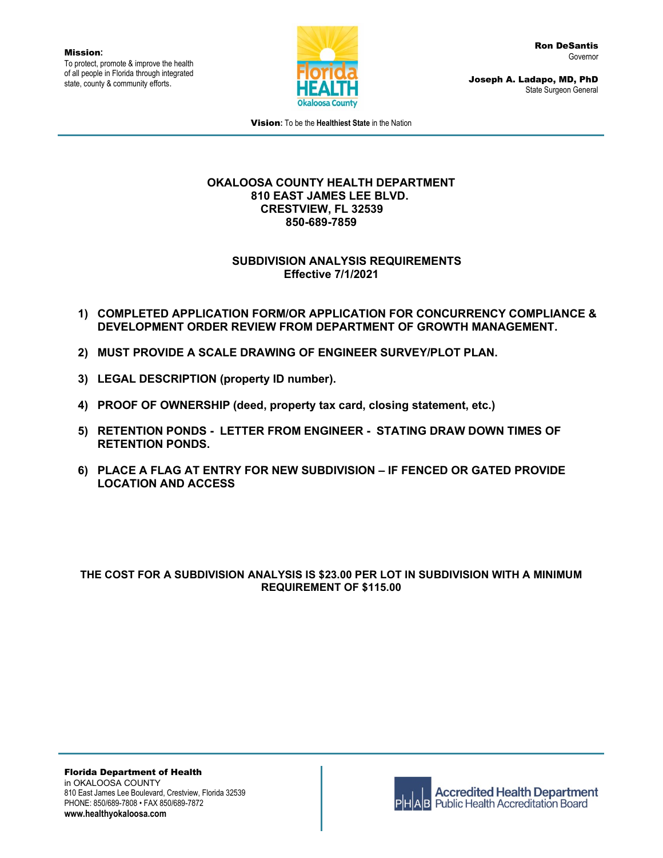Mission**:** To protect, promote & improve the health of all people in Florida through integrated state, county & community efforts.



Joseph A. Ladapo, MD, PhD State Surgeon General

Vision**:** To be the **Healthiest State** in the Nation

#### **OKALOOSA COUNTY HEALTH DEPARTMENT 810 EAST JAMES LEE BLVD. CRESTVIEW, FL 32539 850-689-7859**

### **SUBDIVISION ANALYSIS REQUIREMENTS Effective 7/1/2021**

- **1) COMPLETED APPLICATION FORM/OR APPLICATION FOR CONCURRENCY COMPLIANCE & DEVELOPMENT ORDER REVIEW FROM DEPARTMENT OF GROWTH MANAGEMENT.**
- **2) MUST PROVIDE A SCALE DRAWING OF ENGINEER SURVEY/PLOT PLAN.**
- **3) LEGAL DESCRIPTION (property ID number).**
- **4) PROOF OF OWNERSHIP (deed, property tax card, closing statement, etc.)**
- **5) RETENTION PONDS - LETTER FROM ENGINEER - STATING DRAW DOWN TIMES OF RETENTION PONDS.**
- **6) PLACE A FLAG AT ENTRY FOR NEW SUBDIVISION – IF FENCED OR GATED PROVIDE LOCATION AND ACCESS**

### **THE COST FOR A SUBDIVISION ANALYSIS IS \$23.00 PER LOT IN SUBDIVISION WITH A MINIMUM REQUIREMENT OF \$115.00**